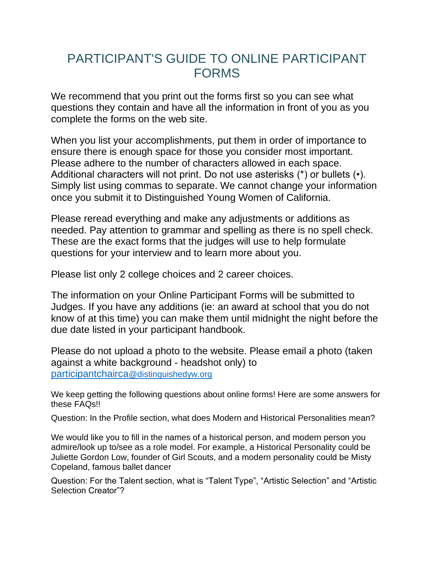## PARTICIPANT'S GUIDE TO ONLINE PARTICIPANT FORMS

We recommend that you print out the forms first so you can see what questions they contain and have all the information in front of you as you complete the forms on the web site.

When you list your accomplishments, put them in order of importance to ensure there is enough space for those you consider most important. Please adhere to the number of characters allowed in each space. Additional characters will not print. Do not use asterisks (\*) or bullets (•). Simply list using commas to separate. We cannot change your information once you submit it to Distinguished Young Women of California.

Please reread everything and make any adjustments or additions as needed. Pay attention to grammar and spelling as there is no spell check. These are the exact forms that the judges will use to help formulate questions for your interview and to learn more about you.

Please list only 2 college choices and 2 career choices.

The information on your Online Participant Forms will be submitted to Judges. If you have any additions (ie: an award at school that you do not know of at this time) you can make them until midnight the night before the due date listed in your participant handbook.

Please do not upload a photo to the website. Please email a photo (taken against a white background - headshot only) to participantchairca@distinguishedyw.org

We keep getting the following questions about online forms! Here are some answers for these FAQs!!

Question: In the Profile section, what does Modern and Historical Personalities mean?

We would like you to fill in the names of a historical person, and modern person you admire/look up to/see as a role model. For example, a Historical Personality could be Juliette Gordon Low, founder of Girl Scouts, and a modern personality could be Misty Copeland, famous ballet dancer

Question: For the Talent section, what is "Talent Type", "Artistic Selection" and "Artistic Selection Creator"?